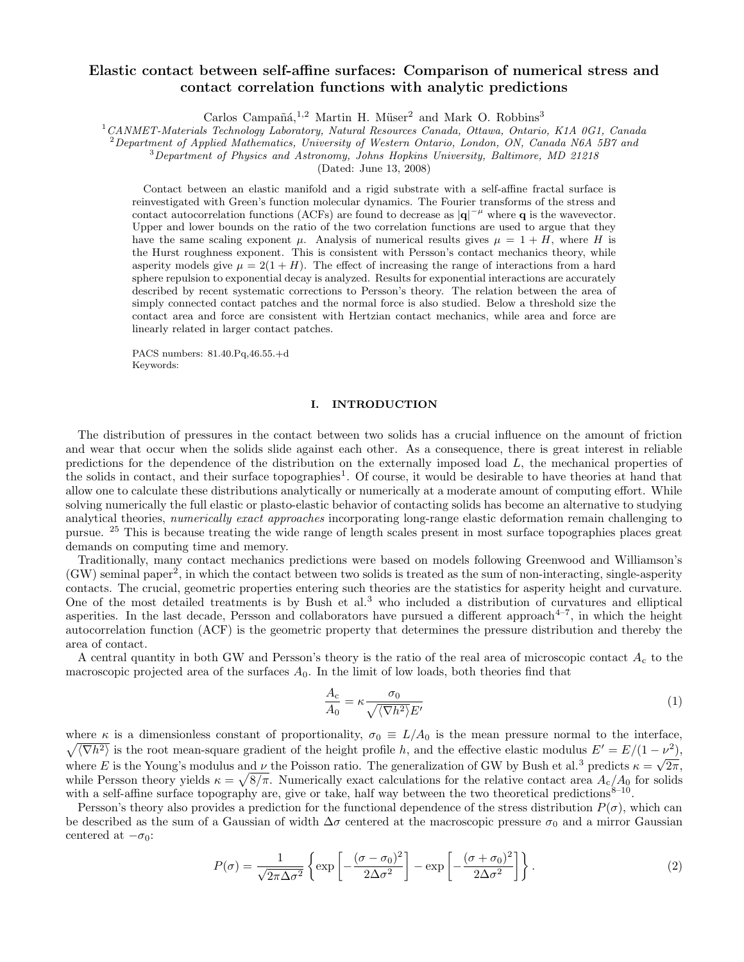# Elastic contact between self-affine surfaces: Comparison of numerical stress and contact correlation functions with analytic predictions

Carlos Campañá,<sup>1,2</sup> Martin H. Müser<sup>2</sup> and Mark O. Robbins<sup>3</sup>

<sup>1</sup>CANMET-Materials Technology Laboratory, Natural Resources Canada, Ottawa, Ontario, K1A 0G1, Canada

 $2$  Department of Applied Mathematics, University of Western Ontario, London, ON, Canada N6A 5B7 and

<sup>3</sup>Department of Physics and Astronomy, Johns Hopkins University, Baltimore, MD 21218

(Dated: June 13, 2008)

Contact between an elastic manifold and a rigid substrate with a self-affine fractal surface is reinvestigated with Green's function molecular dynamics. The Fourier transforms of the stress and contact autocorrelation functions (ACFs) are found to decrease as  $|q|^{-\mu}$  where q is the wavevector. Upper and lower bounds on the ratio of the two correlation functions are used to argue that they have the same scaling exponent  $\mu$ . Analysis of numerical results gives  $\mu = 1 + H$ , where H is the Hurst roughness exponent. This is consistent with Persson's contact mechanics theory, while asperity models give  $\mu = 2(1 + H)$ . The effect of increasing the range of interactions from a hard sphere repulsion to exponential decay is analyzed. Results for exponential interactions are accurately described by recent systematic corrections to Persson's theory. The relation between the area of simply connected contact patches and the normal force is also studied. Below a threshold size the contact area and force are consistent with Hertzian contact mechanics, while area and force are linearly related in larger contact patches.

PACS numbers: 81.40.Pq,46.55.+d Keywords:

#### I. INTRODUCTION

The distribution of pressures in the contact between two solids has a crucial influence on the amount of friction and wear that occur when the solids slide against each other. As a consequence, there is great interest in reliable predictions for the dependence of the distribution on the externally imposed load  $L$ , the mechanical properties of the solids in contact, and their surface topographies<sup>1</sup>. Of course, it would be desirable to have theories at hand that allow one to calculate these distributions analytically or numerically at a moderate amount of computing effort. While solving numerically the full elastic or plasto-elastic behavior of contacting solids has become an alternative to studying analytical theories, numerically exact approaches incorporating long-range elastic deformation remain challenging to pursue. <sup>25</sup> This is because treating the wide range of length scales present in most surface topographies places great demands on computing time and memory.

Traditionally, many contact mechanics predictions were based on models following Greenwood and Williamson's (GW) seminal paper<sup>2</sup> , in which the contact between two solids is treated as the sum of non-interacting, single-asperity contacts. The crucial, geometric properties entering such theories are the statistics for asperity height and curvature. One of the most detailed treatments is by Bush et al.<sup>3</sup> who included a distribution of curvatures and elliptical asperities. In the last decade, Persson and collaborators have pursued a different approach 4–7 , in which the height autocorrelation function (ACF) is the geometric property that determines the pressure distribution and thereby the area of contact.

A central quantity in both GW and Persson's theory is the ratio of the real area of microscopic contact  $A_c$  to the macroscopic projected area of the surfaces  $A_0$ . In the limit of low loads, both theories find that

$$
\frac{A_{\rm c}}{A_0} = \kappa \frac{\sigma_0}{\sqrt{\langle \nabla h^2 \rangle} E'}
$$
\n(1)

where  $\kappa$  is a dimensionless constant of proportionality,  $\sigma_0 \equiv L/A_0$  is the mean pressure normal to the interface,  $\sqrt{\langle \nabla h^2 \rangle}$  is the root mean-square gradient of the height profile h, and the effective elastic modulus  $E' = E/(1 - \nu^2)$ , where E is the Young's modulus and  $\nu$  the Poisson ratio. The generalization of GW by Bush et al.<sup>3</sup> predicts  $\kappa = \sqrt{2\pi}$ , while Persson theory yields  $\kappa = \sqrt{8/\pi}$ . Numerically exact calculations for the relative contact area  $A_c/A_0$  for solids with a self-affine surface topography are, give or take, half way between the two theoretical predictions<sup>8–10</sup>.

Persson's theory also provides a prediction for the functional dependence of the stress distribution  $P(\sigma)$ , which can be described as the sum of a Gaussian of width  $\Delta\sigma$  centered at the macroscopic pressure  $\sigma_0$  and a mirror Gaussian centered at  $-\sigma_0$ :

$$
P(\sigma) = \frac{1}{\sqrt{2\pi\Delta\sigma^2}} \left\{ \exp\left[ -\frac{(\sigma - \sigma_0)^2}{2\Delta\sigma^2} \right] - \exp\left[ -\frac{(\sigma + \sigma_0)^2}{2\Delta\sigma^2} \right] \right\}.
$$
 (2)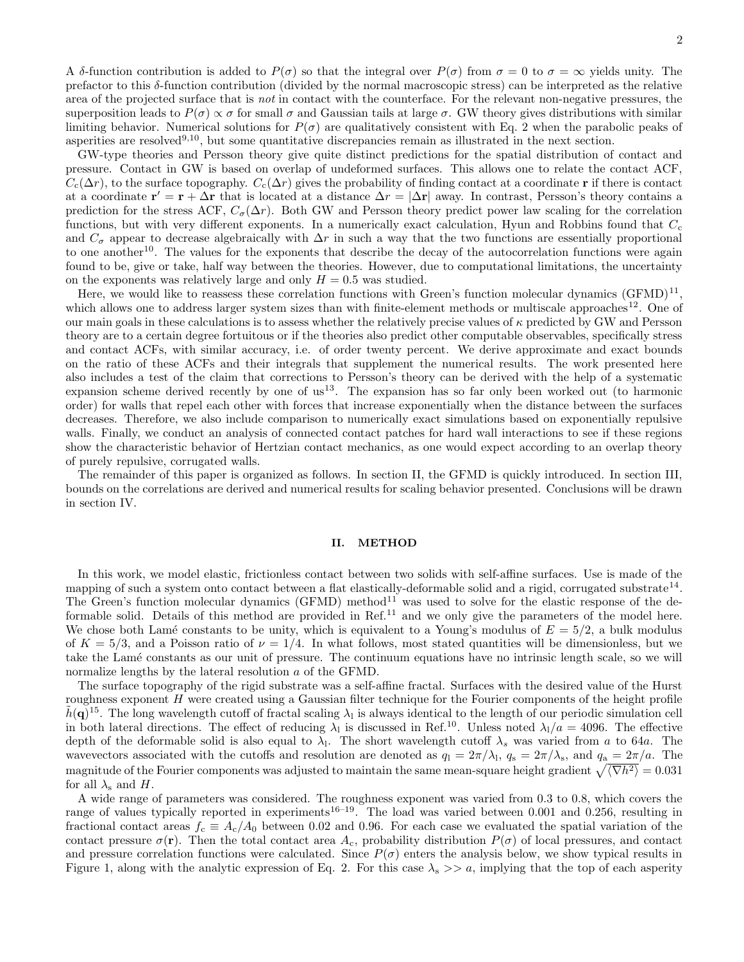A δ-function contribution is added to  $P(\sigma)$  so that the integral over  $P(\sigma)$  from  $\sigma = 0$  to  $\sigma = \infty$  yields unity. The prefactor to this δ-function contribution (divided by the normal macroscopic stress) can be interpreted as the relative area of the projected surface that is *not* in contact with the counterface. For the relevant non-negative pressures, the superposition leads to  $P(\sigma) \propto \sigma$  for small  $\sigma$  and Gaussian tails at large  $\sigma$ . GW theory gives distributions with similar limiting behavior. Numerical solutions for  $P(\sigma)$  are qualitatively consistent with Eq. 2 when the parabolic peaks of asperities are resolved<sup>9,10</sup>, but some quantitative discrepancies remain as illustrated in the next section.

GW-type theories and Persson theory give quite distinct predictions for the spatial distribution of contact and pressure. Contact in GW is based on overlap of undeformed surfaces. This allows one to relate the contact ACF,  $C_c(\Delta r)$ , to the surface topography.  $C_c(\Delta r)$  gives the probability of finding contact at a coordinate r if there is contact at a coordinate  $\mathbf{r}' = \mathbf{r} + \Delta \mathbf{r}$  that is located at a distance  $\Delta r = |\Delta \mathbf{r}|$  away. In contrast, Persson's theory contains a prediction for the stress ACF,  $C_{\sigma}(\Delta r)$ . Both GW and Persson theory predict power law scaling for the correlation functions, but with very different exponents. In a numerically exact calculation, Hyun and Robbins found that  $C_c$ and  $C_{\sigma}$  appear to decrease algebraically with  $\Delta r$  in such a way that the two functions are essentially proportional to one another<sup>10</sup>. The values for the exponents that describe the decay of the autocorrelation functions were again found to be, give or take, half way between the theories. However, due to computational limitations, the uncertainty on the exponents was relatively large and only  $H = 0.5$  was studied.

Here, we would like to reassess these correlation functions with Green's function molecular dynamics  $(\text{GFMD})^{11}$ , which allows one to address larger system sizes than with finite-element methods or multiscale approaches<sup>12</sup>. One of our main goals in these calculations is to assess whether the relatively precise values of  $\kappa$  predicted by GW and Persson theory are to a certain degree fortuitous or if the theories also predict other computable observables, specifically stress and contact ACFs, with similar accuracy, i.e. of order twenty percent. We derive approximate and exact bounds on the ratio of these ACFs and their integrals that supplement the numerical results. The work presented here also includes a test of the claim that corrections to Persson's theory can be derived with the help of a systematic expansion scheme derived recently by one of  $us^{13}$ . The expansion has so far only been worked out (to harmonic order) for walls that repel each other with forces that increase exponentially when the distance between the surfaces decreases. Therefore, we also include comparison to numerically exact simulations based on exponentially repulsive walls. Finally, we conduct an analysis of connected contact patches for hard wall interactions to see if these regions show the characteristic behavior of Hertzian contact mechanics, as one would expect according to an overlap theory of purely repulsive, corrugated walls.

The remainder of this paper is organized as follows. In section II, the GFMD is quickly introduced. In section III, bounds on the correlations are derived and numerical results for scaling behavior presented. Conclusions will be drawn in section IV.

### II. METHOD

In this work, we model elastic, frictionless contact between two solids with self-affine surfaces. Use is made of the mapping of such a system onto contact between a flat elastically-deformable solid and a rigid, corrugated substrate<sup>14</sup>. The Green's function molecular dynamics (GFMD) method<sup>11</sup> was used to solve for the elastic response of the deformable solid. Details of this method are provided in Ref.<sup>11</sup> and we only give the parameters of the model here. We chose both Lamé constants to be unity, which is equivalent to a Young's modulus of  $E = 5/2$ , a bulk modulus of  $K = 5/3$ , and a Poisson ratio of  $\nu = 1/4$ . In what follows, most stated quantities will be dimensionless, but we take the Lam´e constants as our unit of pressure. The continuum equations have no intrinsic length scale, so we will normalize lengths by the lateral resolution a of the GFMD.

The surface topography of the rigid substrate was a self-affine fractal. Surfaces with the desired value of the Hurst roughness exponent H were created using a Gaussian filter technique for the Fourier components of the height profile  $\tilde{h}(\mathbf{q})^{15}$ . The long wavelength cutoff of fractal scaling  $\lambda_1$  is always identical to the length of our periodic simulation cell in both lateral directions. The effect of reducing  $\lambda_1$  is discussed in Ref.<sup>10</sup>. Unless noted  $\lambda_1/a = 4096$ . The effective depth of the deformable solid is also equal to  $\lambda_1$ . The short wavelength cutoff  $\lambda_s$  was varied from a to 64a. The wavevectors associated with the cutoffs and resolution are denoted as  $q_1 = 2\pi/\lambda_1$ ,  $q_s = 2\pi/\lambda_s$ , and  $q_a = 2\pi/a$ . The magnitude of the Fourier components was adjusted to maintain the same mean-square height gradient  $\sqrt{\langle \nabla h^2 \rangle} = 0.031$ for all  $\lambda_s$  and H.

A wide range of parameters was considered. The roughness exponent was varied from 0.3 to 0.8, which covers the range of values typically reported in experiments<sup>16–19</sup>. The load was varied between 0.001 and 0.256, resulting in fractional contact areas  $f_c \equiv A_c/A_0$  between 0.02 and 0.96. For each case we evaluated the spatial variation of the contact pressure  $\sigma(\mathbf{r})$ . Then the total contact area  $A_c$ , probability distribution  $P(\sigma)$  of local pressures, and contact and pressure correlation functions were calculated. Since  $P(\sigma)$  enters the analysis below, we show typical results in Figure 1, along with the analytic expression of Eq. 2. For this case  $\lambda_s \gg a$ , implying that the top of each asperity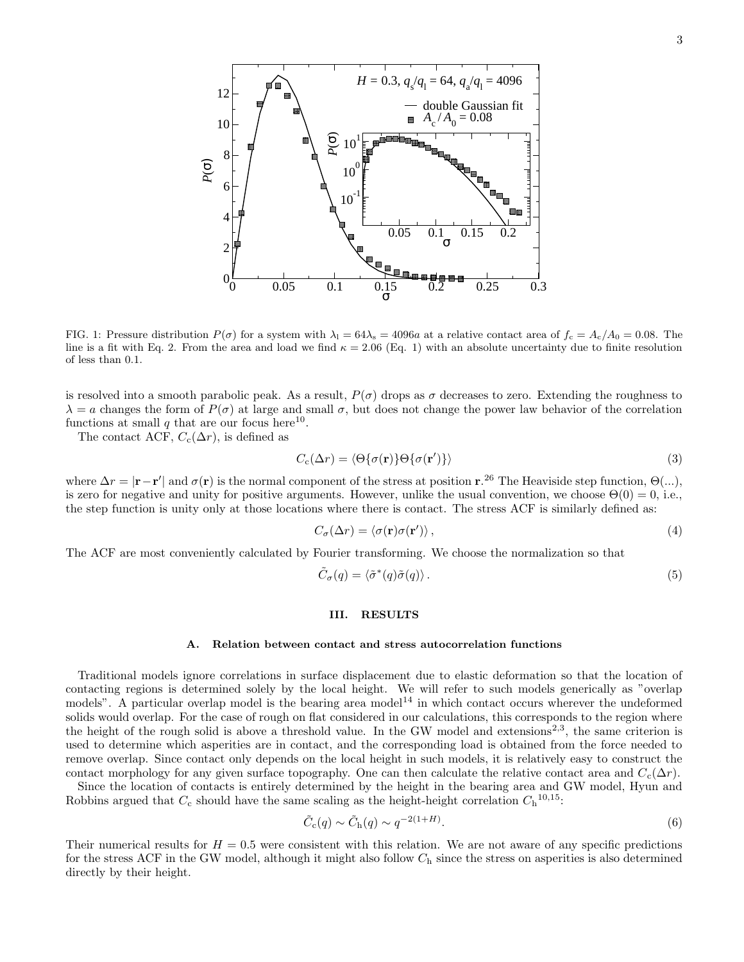

FIG. 1: Pressure distribution  $P(\sigma)$  for a system with  $\lambda_1 = 64\lambda_s = 4096a$  at a relative contact area of  $f_c = A_c/A_0 = 0.08$ . The line is a fit with Eq. 2. From the area and load we find  $\kappa = 2.06$  (Eq. 1) with an absolute uncertainty due to finite resolution of less than 0.1.

is resolved into a smooth parabolic peak. As a result,  $P(\sigma)$  drops as  $\sigma$  decreases to zero. Extending the roughness to  $\lambda = a$  changes the form of  $P(\sigma)$  at large and small  $\sigma$ , but does not change the power law behavior of the correlation functions at small  $q$  that are our focus here<sup>10</sup>.

The contact ACF,  $C_c(\Delta r)$ , is defined as

$$
C_{\rm c}(\Delta r) = \langle \Theta \{ \sigma(\mathbf{r}) \} \Theta \{ \sigma(\mathbf{r}') \} \rangle \tag{3}
$$

where  $\Delta r = |\mathbf{r} - \mathbf{r}'|$  and  $\sigma(\mathbf{r})$  is the normal component of the stress at position  $\mathbf{r}^2$ . The Heaviside step function,  $\Theta(\ldots)$ , is zero for negative and unity for positive arguments. However, unlike the usual convention, we choose  $\Theta(0) = 0$ , i.e., the step function is unity only at those locations where there is contact. The stress ACF is similarly defined as:

$$
C_{\sigma}(\Delta r) = \langle \sigma(\mathbf{r})\sigma(\mathbf{r}') \rangle, \tag{4}
$$

The ACF are most conveniently calculated by Fourier transforming. We choose the normalization so that

$$
\tilde{C}_{\sigma}(q) = \langle \tilde{\sigma}^*(q)\tilde{\sigma}(q) \rangle. \tag{5}
$$

## III. RESULTS

#### A. Relation between contact and stress autocorrelation functions

Traditional models ignore correlations in surface displacement due to elastic deformation so that the location of contacting regions is determined solely by the local height. We will refer to such models generically as "overlap models". A particular overlap model is the bearing area model<sup>14</sup> in which contact occurs wherever the undeformed solids would overlap. For the case of rough on flat considered in our calculations, this corresponds to the region where the height of the rough solid is above a threshold value. In the GW model and extensions<sup>2,3</sup>, the same criterion is used to determine which asperities are in contact, and the corresponding load is obtained from the force needed to remove overlap. Since contact only depends on the local height in such models, it is relatively easy to construct the contact morphology for any given surface topography. One can then calculate the relative contact area and  $C_c(\Delta r)$ .

Since the location of contacts is entirely determined by the height in the bearing area and GW model, Hyun and Robbins argued that  $C_c$  should have the same scaling as the height-height correlation  $C_h^{10,15}$ :

$$
\tilde{C}_{\rm c}(q) \sim \tilde{C}_{\rm h}(q) \sim q^{-2(1+H)}.\tag{6}
$$

Their numerical results for  $H = 0.5$  were consistent with this relation. We are not aware of any specific predictions for the stress ACF in the GW model, although it might also follow  $C<sub>h</sub>$  since the stress on asperities is also determined directly by their height.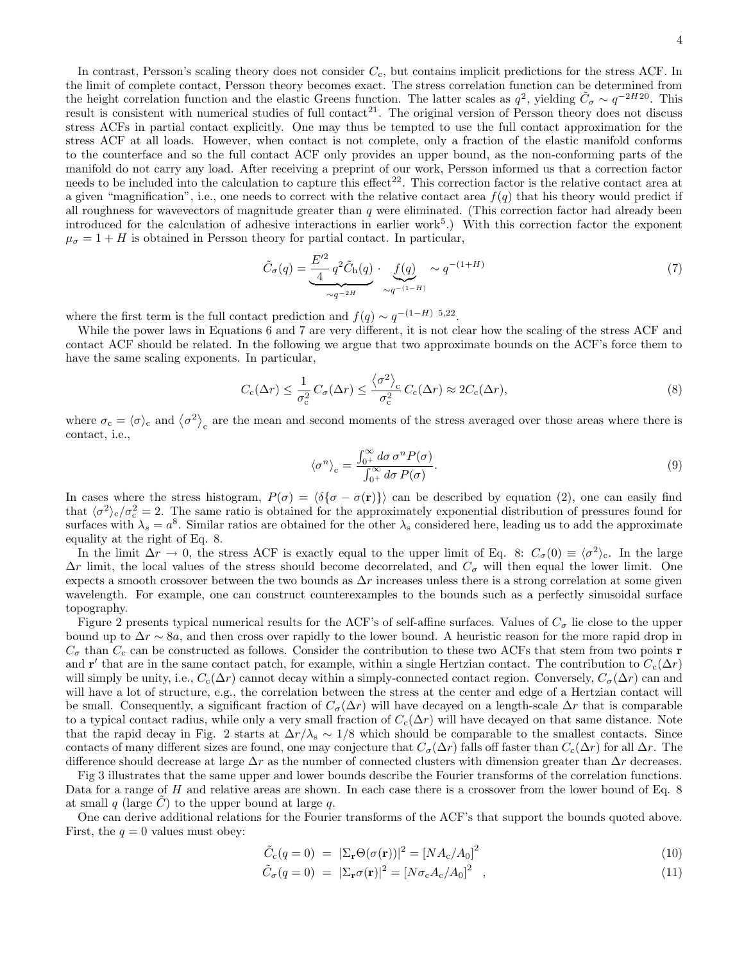In contrast, Persson's scaling theory does not consider  $C_c$ , but contains implicit predictions for the stress ACF. In the limit of complete contact, Persson theory becomes exact. The stress correlation function can be determined from the height correlation function and the elastic Greens function. The latter scales as  $q^2$ , yielding  $\tilde{C}_{\sigma} \sim q^{-2H20}$ . This result is consistent with numerical studies of full contact<sup>21</sup>. The original version of Persson theory does not discuss stress ACFs in partial contact explicitly. One may thus be tempted to use the full contact approximation for the stress ACF at all loads. However, when contact is not complete, only a fraction of the elastic manifold conforms to the counterface and so the full contact ACF only provides an upper bound, as the non-conforming parts of the manifold do not carry any load. After receiving a preprint of our work, Persson informed us that a correction factor needs to be included into the calculation to capture this effect<sup>22</sup>. This correction factor is the relative contact area at a given "magnification", i.e., one needs to correct with the relative contact area  $f(q)$  that his theory would predict if all roughness for wavevectors of magnitude greater than  $q$  were eliminated. (This correction factor had already been introduced for the calculation of adhesive interactions in earlier work<sup>5</sup>.) With this correction factor the exponent  $\mu_{\sigma} = 1 + H$  is obtained in Persson theory for partial contact. In particular,

$$
\tilde{C}_{\sigma}(q) = \underbrace{\frac{E'^2}{4} q^2 \tilde{C}_{\text{h}}(q)}_{\sim q^{-2H}} \cdot \underbrace{f(q)}_{\sim q^{-(1-H)}} \sim q^{-(1+H)} \tag{7}
$$

where the first term is the full contact prediction and  $f(q) \sim q^{-(1-H)}$  5,22.

While the power laws in Equations 6 and 7 are very different, it is not clear how the scaling of the stress ACF and contact ACF should be related. In the following we argue that two approximate bounds on the ACF's force them to have the same scaling exponents. In particular,

$$
C_{\rm c}(\Delta r) \le \frac{1}{\sigma_{\rm c}^2} C_{\sigma}(\Delta r) \le \frac{\langle \sigma^2 \rangle_{\rm c}}{\sigma_{\rm c}^2} C_{\rm c}(\Delta r) \approx 2C_{\rm c}(\Delta r),\tag{8}
$$

where  $\sigma_c = \langle \sigma \rangle_c$  and  $\langle \sigma^2 \rangle_c$  are the mean and second moments of the stress averaged over those areas where there is contact, i.e.,

$$
\langle \sigma^n \rangle_c = \frac{\int_{0^+}^{\infty} d\sigma \, \sigma^n P(\sigma)}{\int_{0^+}^{\infty} d\sigma \, P(\sigma)}.
$$
\n(9)

In cases where the stress histogram,  $P(\sigma) = \langle \delta{\sigma - \sigma(r)}\rangle$  can be described by equation (2), one can easily find that  $\langle \sigma^2 \rangle_c / \sigma_c^2 = 2$ . The same ratio is obtained for the approximately exponential distribution of pressures found for surfaces with  $\lambda_s = a^8$ . Similar ratios are obtained for the other  $\lambda_s$  considered here, leading us to add the approximate equality at the right of Eq. 8.

In the limit  $\Delta r \to 0$ , the stress ACF is exactly equal to the upper limit of Eq. 8:  $C_{\sigma}(0) \equiv \langle \sigma^2 \rangle_c$ . In the large  $\Delta r$  limit, the local values of the stress should become decorrelated, and  $C_{\sigma}$  will then equal the lower limit. One expects a smooth crossover between the two bounds as  $\Delta r$  increases unless there is a strong correlation at some given wavelength. For example, one can construct counterexamples to the bounds such as a perfectly sinusoidal surface topography.

Figure 2 presents typical numerical results for the ACF's of self-affine surfaces. Values of  $C_{\sigma}$  lie close to the upper bound up to  $\Delta r \sim 8a$ , and then cross over rapidly to the lower bound. A heuristic reason for the more rapid drop in  $C_{\sigma}$  than  $C_{c}$  can be constructed as follows. Consider the contribution to these two ACFs that stem from two points **r** and r' that are in the same contact patch, for example, within a single Hertzian contact. The contribution to  $C_c(\Delta r)$ will simply be unity, i.e.,  $C_c(\Delta r)$  cannot decay within a simply-connected contact region. Conversely,  $C_{\sigma}(\Delta r)$  can and will have a lot of structure, e.g., the correlation between the stress at the center and edge of a Hertzian contact will be small. Consequently, a significant fraction of  $C_{\sigma}(\Delta r)$  will have decayed on a length-scale  $\Delta r$  that is comparable to a typical contact radius, while only a very small fraction of  $C_c(\Delta r)$  will have decayed on that same distance. Note that the rapid decay in Fig. 2 starts at  $\Delta r/\lambda_s \sim 1/8$  which should be comparable to the smallest contacts. Since contacts of many different sizes are found, one may conjecture that  $C_{\sigma}(\Delta r)$  falls off faster than  $C_{c}(\Delta r)$  for all  $\Delta r$ . The difference should decrease at large  $\Delta r$  as the number of connected clusters with dimension greater than  $\Delta r$  decreases.

Fig 3 illustrates that the same upper and lower bounds describe the Fourier transforms of the correlation functions. Data for a range of H and relative areas are shown. In each case there is a crossover from the lower bound of Eq. 8 at small q (large  $\tilde{C}$ ) to the upper bound at large q.

One can derive additional relations for the Fourier transforms of the ACF's that support the bounds quoted above. First, the  $q = 0$  values must obey:

$$
\tilde{C}_{\rm c}(q=0) = |\Sigma_{\rm r}\Theta(\sigma(\mathbf{r}))|^2 = [NA_{\rm c}/A_0]^2 \tag{10}
$$

$$
\tilde{C}_{\sigma}(q=0) = |\Sigma_{\mathbf{r}}\sigma(\mathbf{r})|^2 = [N\sigma_{\rm c}A_{\rm c}/A_0]^2 , \qquad (11)
$$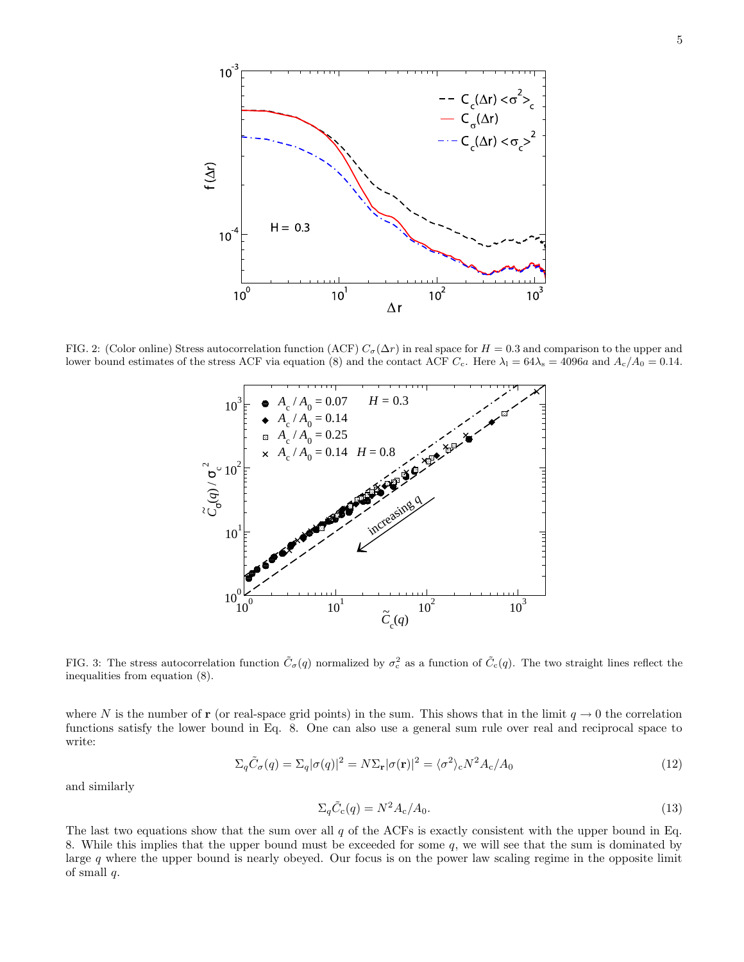

FIG. 2: (Color online) Stress autocorrelation function (ACF)  $C_{\sigma}(\Delta r)$  in real space for  $H = 0.3$  and comparison to the upper and lower bound estimates of the stress ACF via equation (8) and the contact ACF  $C_c$ . Here  $\lambda_1 = 64\lambda_s = 4096a$  and  $A_c/A_0 = 0.14$ .



FIG. 3: The stress autocorrelation function  $\tilde{C}_{\sigma}(q)$  normalized by  $\sigma_{\rm c}^2$  as a function of  $\tilde{C}_{\rm c}(q)$ . The two straight lines reflect the inequalities from equation (8).

where N is the number of r (or real-space grid points) in the sum. This shows that in the limit  $q \to 0$  the correlation functions satisfy the lower bound in Eq. 8. One can also use a general sum rule over real and reciprocal space to write:

$$
\Sigma_q \tilde{C}_\sigma(q) = \Sigma_q |\sigma(q)|^2 = N \Sigma_\mathbf{r} |\sigma(\mathbf{r})|^2 = \langle \sigma^2 \rangle_c N^2 A_c / A_0 \tag{12}
$$

and similarly

$$
\Sigma_q \tilde{C}_c(q) = N^2 A_c / A_0. \tag{13}
$$

The last two equations show that the sum over all  $q$  of the ACFs is exactly consistent with the upper bound in Eq. 8. While this implies that the upper bound must be exceeded for some  $q$ , we will see that the sum is dominated by large q where the upper bound is nearly obeyed. Our focus is on the power law scaling regime in the opposite limit of small  $q$ .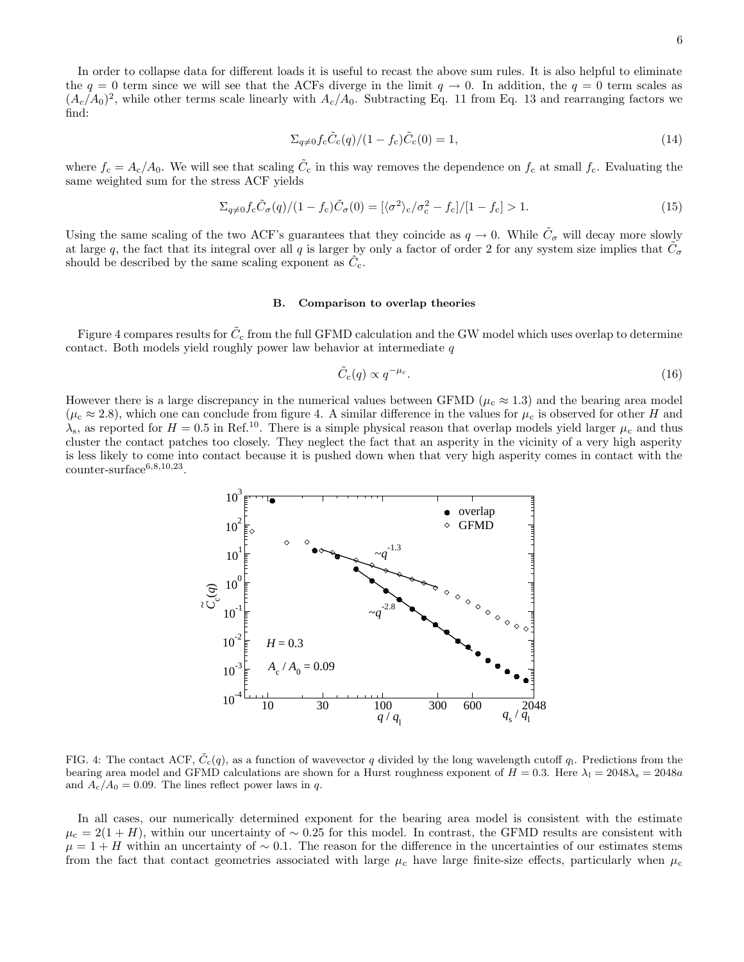In order to collapse data for different loads it is useful to recast the above sum rules. It is also helpful to eliminate the  $q = 0$  term since we will see that the ACFs diverge in the limit  $q \to 0$ . In addition, the  $q = 0$  term scales as  $(A_c/A_0)^2$ , while other terms scale linearly with  $A_c/A_0$ . Subtracting Eq. 11 from Eq. 13 and rearranging factors we find:

$$
\Sigma_{q \neq 0} f_{\rm c} \tilde{C}_{\rm c}(q)/(1 - f_{\rm c}) \tilde{C}_{\rm c}(0) = 1, \tag{14}
$$

where  $f_c = A_c/A_0$ . We will see that scaling  $\tilde{C}_c$  in this way removes the dependence on  $f_c$  at small  $f_c$ . Evaluating the same weighted sum for the stress ACF yields

$$
\Sigma_{q\neq 0} f_{\rm c} \tilde{C}_{\sigma}(q)/(1-f_{\rm c})\tilde{C}_{\sigma}(0) = [\langle \sigma^2 \rangle_{\rm c}/\sigma_{\rm c}^2 - f_{\rm c}]/[1-f_{\rm c}] > 1. \tag{15}
$$

Using the same scaling of the two ACF's guarantees that they coincide as  $q \to 0$ . While  $\tilde{C}_{\sigma}$  will decay more slowly at large q, the fact that its integral over all q is larger by only a factor of order 2 for any system size implies that  $\tilde{C}_{\sigma}$ should be described by the same scaling exponent as  $\tilde{C}_{c}$ .

#### B. Comparison to overlap theories

Figure 4 compares results for  $\tilde{C}_{\rm c}$  from the full GFMD calculation and the GW model which uses overlap to determine contact. Both models yield roughly power law behavior at intermediate  $q$ 

$$
\tilde{C}_{\rm c}(q) \propto q^{-\mu_{\rm c}}.\tag{16}
$$

However there is a large discrepancy in the numerical values between GFMD ( $\mu_c \approx 1.3$ ) and the bearing area model  $(\mu_c \approx 2.8)$ , which one can conclude from figure 4. A similar difference in the values for  $\mu_c$  is observed for other H and  $\lambda_{\rm s}$ , as reported for  $H = 0.5$  in Ref.<sup>10</sup>. There is a simple physical reason that overlap models yield larger  $\mu_{\rm c}$  and thus cluster the contact patches too closely. They neglect the fact that an asperity in the vicinity of a very high asperity is less likely to come into contact because it is pushed down when that very high asperity comes in contact with the  $\text{counter-surface}^{6,8,10,23}.$ 



FIG. 4: The contact ACF,  $\tilde{C}_c(q)$ , as a function of wavevector q divided by the long wavelength cutoff q. Predictions from the bearing area model and GFMD calculations are shown for a Hurst roughness exponent of  $H = 0.3$ . Here  $\lambda_1 = 2048\lambda_s = 2048a$ and  $A_c/A_0 = 0.09$ . The lines reflect power laws in q.

In all cases, our numerically determined exponent for the bearing area model is consistent with the estimate  $\mu_c = 2(1 + H)$ , within our uncertainty of ~ 0.25 for this model. In contrast, the GFMD results are consistent with  $\mu = 1 + H$  within an uncertainty of ~ 0.1. The reason for the difference in the uncertainties of our estimates stems from the fact that contact geometries associated with large  $\mu_c$  have large finite-size effects, particularly when  $\mu_c$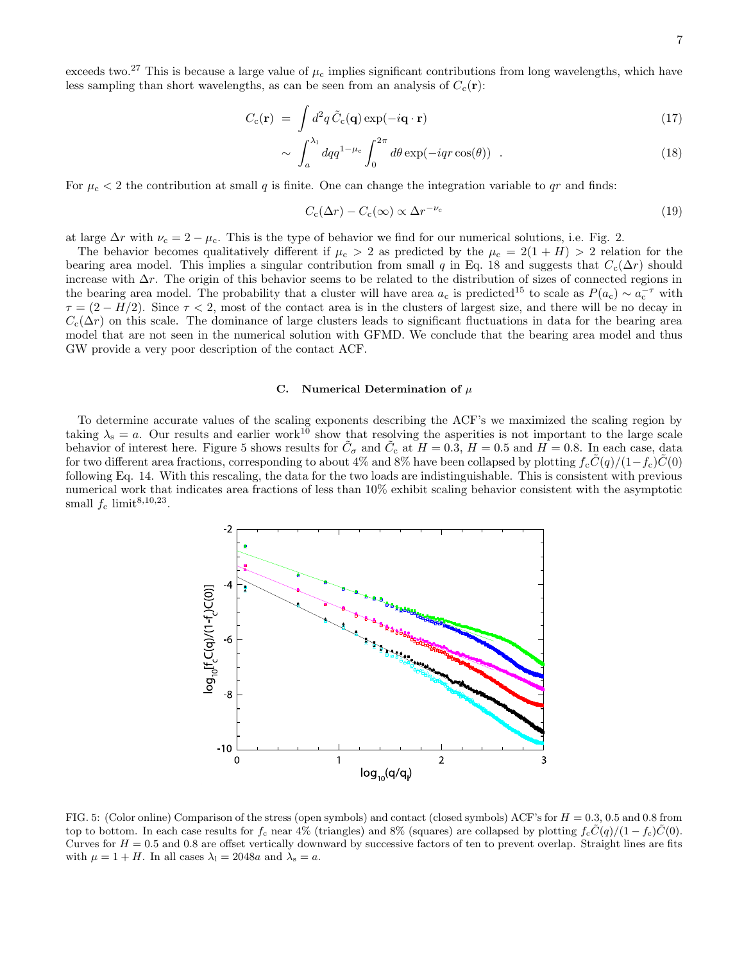7

exceeds two.<sup>27</sup> This is because a large value of  $\mu_c$  implies significant contributions from long wavelengths, which have less sampling than short wavelengths, as can be seen from an analysis of  $C_c(\mathbf{r})$ :

$$
C_{\rm c}(\mathbf{r}) = \int d^2q \,\tilde{C}_{\rm c}(\mathbf{q}) \exp(-i\mathbf{q} \cdot \mathbf{r}) \tag{17}
$$

$$
\sim \int_{a}^{\lambda_1} dq q^{1-\mu_c} \int_{0}^{2\pi} d\theta \exp(-iqr \cos(\theta)) . \tag{18}
$$

For  $\mu_c < 2$  the contribution at small q is finite. One can change the integration variable to qr and finds:

$$
C_{\rm c}(\Delta r) - C_{\rm c}(\infty) \propto \Delta r^{-\nu_{\rm c}} \tag{19}
$$

at large  $\Delta r$  with  $\nu_c = 2 - \mu_c$ . This is the type of behavior we find for our numerical solutions, i.e. Fig. 2.

The behavior becomes qualitatively different if  $\mu_c > 2$  as predicted by the  $\mu_c = 2(1 + H) > 2$  relation for the bearing area model. This implies a singular contribution from small q in Eq. 18 and suggests that  $C_c(\Delta r)$  should increase with  $\Delta r$ . The origin of this behavior seems to be related to the distribution of sizes of connected regions in the bearing area model. The probability that a cluster will have area  $a_c$  is predicted<sup>15</sup> to scale as  $P(a_c) \sim a_c^{-\tau}$  with  $\tau = (2 - H/2)$ . Since  $\tau < 2$ , most of the contact area is in the clusters of largest size, and there will be no decay in  $C_c(\Delta r)$  on this scale. The dominance of large clusters leads to significant fluctuations in data for the bearing area model that are not seen in the numerical solution with GFMD. We conclude that the bearing area model and thus GW provide a very poor description of the contact ACF.

### C. Numerical Determination of  $\mu$

To determine accurate values of the scaling exponents describing the ACF's we maximized the scaling region by taking  $\lambda_s = a$ . Our results and earlier work<sup>10</sup> show that resolving the asperities is not important to the large scale behavior of interest here. Figure 5 shows results for  $\tilde{C}_{\sigma}$  and  $\tilde{C}_{c}$  at  $H = 0.3$ ,  $H = 0.5$  and  $H = 0.8$ . In each case, data for two different area fractions, corresponding to about 4% and 8% have been collapsed by plotting  $f_c\dot{C}(q)/(1-f_c)\dot{C}(0)$ following Eq. 14. With this rescaling, the data for the two loads are indistinguishable. This is consistent with previous numerical work that indicates area fractions of less than 10% exhibit scaling behavior consistent with the asymptotic small  $f_c$  limit<sup>8,10,23</sup>.



FIG. 5: (Color online) Comparison of the stress (open symbols) and contact (closed symbols) ACF's for  $H = 0.3, 0.5$  and 0.8 from top to bottom. In each case results for  $f_c$  near 4% (triangles) and 8% (squares) are collapsed by plotting  $f_c\tilde{C}(q)/(1 - f_c)\tilde{C}(0)$ . Curves for  $H = 0.5$  and 0.8 are offset vertically downward by successive factors of ten to prevent overlap. Straight lines are fits with  $\mu = 1 + H$ . In all cases  $\lambda_1 = 2048a$  and  $\lambda_s = a$ .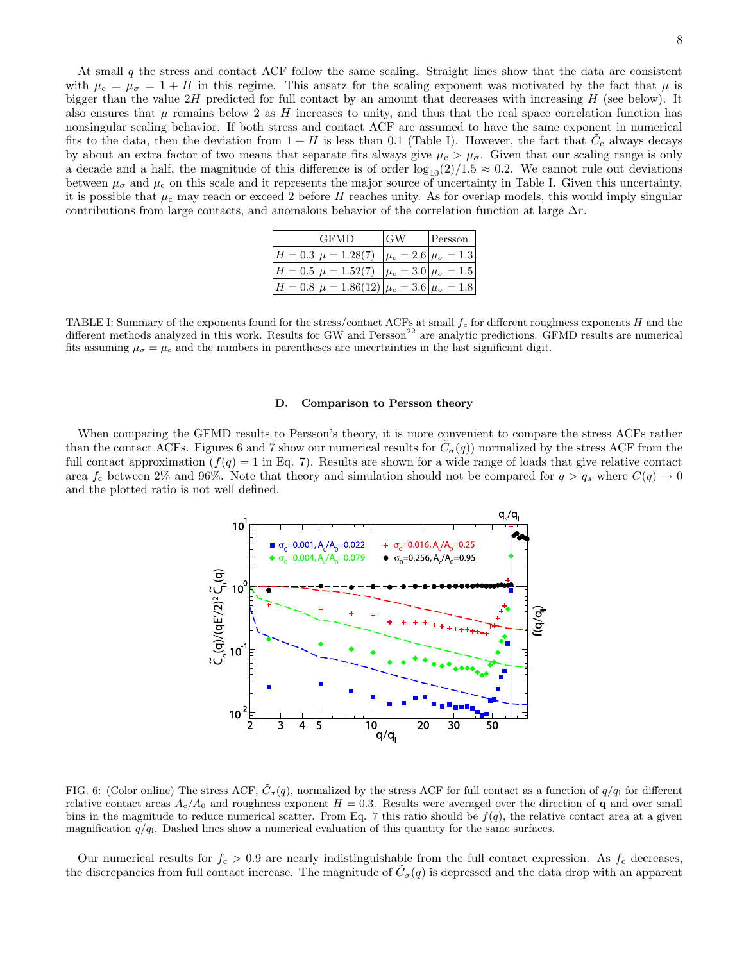At small q the stress and contact ACF follow the same scaling. Straight lines show that the data are consistent with  $\mu_c = \mu_\sigma = 1 + H$  in this regime. This ansatz for the scaling exponent was motivated by the fact that  $\mu$  is bigger than the value  $2H$  predicted for full contact by an amount that decreases with increasing  $H$  (see below). It also ensures that  $\mu$  remains below 2 as H increases to unity, and thus that the real space correlation function has nonsingular scaling behavior. If both stress and contact ACF are assumed to have the same exponent in numerical fits to the data, then the deviation from  $1 + H$  is less than 0.1 (Table I). However, the fact that  $\tilde{C}_{c}$  always decays by about an extra factor of two means that separate fits always give  $\mu_c > \mu_{\sigma}$ . Given that our scaling range is only a decade and a half, the magnitude of this difference is of order  $log_{10}(2)/1.5 \approx 0.2$ . We cannot rule out deviations between  $\mu_{\sigma}$  and  $\mu_{c}$  on this scale and it represents the major source of uncertainty in Table I. Given this uncertainty, it is possible that  $\mu_c$  may reach or exceed 2 before H reaches unity. As for overlap models, this would imply singular contributions from large contacts, and anomalous behavior of the correlation function at large  $\Delta r$ .

| <b>GFMD</b>                                                                         | <b>GW</b> | Persson |
|-------------------------------------------------------------------------------------|-----------|---------|
| $ H = 0.3 \mu = 1.28(7) \mu_c = 2.6 \mu_\sigma = 1.3 $                              |           |         |
| $H = 0.5 \vert \mu = 1.52(7) \vert \mu_c = 3.0 \vert \mu_{\sigma} = 1.5 \vert$      |           |         |
| $\left H=0.8\right \mu=1.86(12)\left \mu_{\rm c}=3.6\right \mu_{\sigma}=1.8\right $ |           |         |

TABLE I: Summary of the exponents found for the stress/contact ACFs at small  $f_c$  for different roughness exponents H and the different methods analyzed in this work. Results for GW and Persson<sup>22</sup> are analytic predictions. GFMD results are numerical fits assuming  $\mu_{\sigma} = \mu_{\rm c}$  and the numbers in parentheses are uncertainties in the last significant digit.

#### D. Comparison to Persson theory

When comparing the GFMD results to Persson's theory, it is more convenient to compare the stress ACFs rather than the contact ACFs. Figures 6 and 7 show our numerical results for  $\tilde{C}_{\sigma}(q)$  normalized by the stress ACF from the full contact approximation  $(f(q) = 1$  in Eq. 7). Results are shown for a wide range of loads that give relative contact area  $f_c$  between 2% and 96%. Note that theory and simulation should not be compared for  $q > q_s$  where  $C(q) \to 0$ and the plotted ratio is not well defined.



FIG. 6: (Color online) The stress ACF,  $\tilde{C}_{\sigma}(q)$ , normalized by the stress ACF for full contact as a function of  $q/q_1$  for different relative contact areas  $A_c/A_0$  and roughness exponent  $H = 0.3$ . Results were averaged over the direction of q and over small bins in the magnitude to reduce numerical scatter. From Eq. 7 this ratio should be  $f(q)$ , the relative contact area at a given magnification  $q/q$ . Dashed lines show a numerical evaluation of this quantity for the same surfaces.

Our numerical results for  $f_c > 0.9$  are nearly indistinguishable from the full contact expression. As  $f_c$  decreases, the discrepancies from full contact increase. The magnitude of  $\tilde{C}_{\sigma}(q)$  is depressed and the data drop with an apparent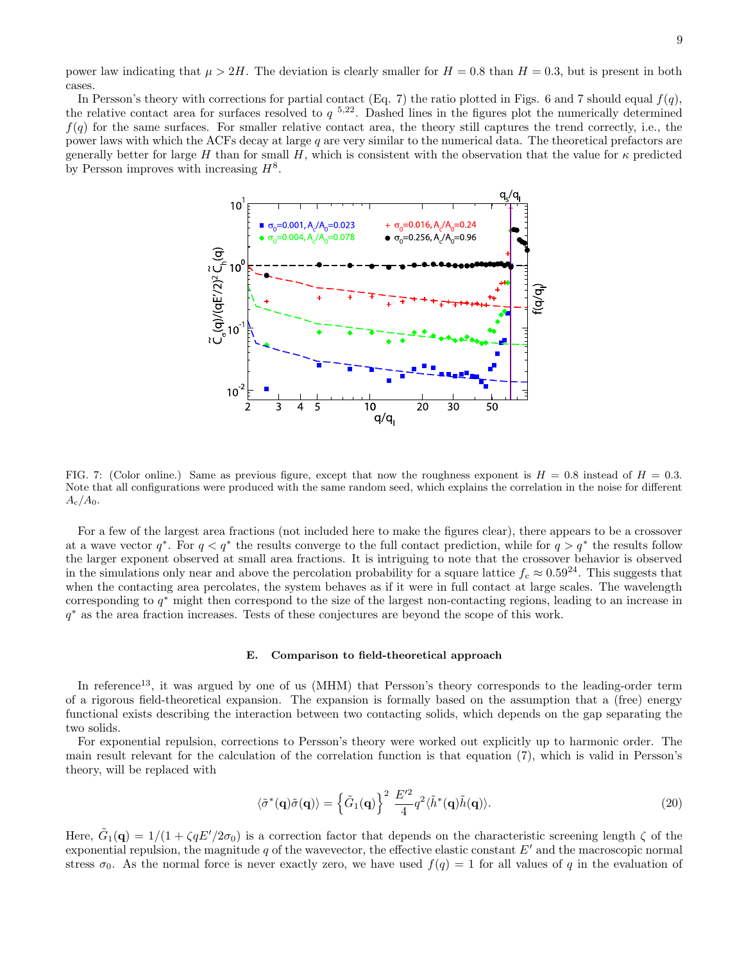power law indicating that  $\mu > 2H$ . The deviation is clearly smaller for  $H = 0.8$  than  $H = 0.3$ , but is present in both cases.

In Persson's theory with corrections for partial contact (Eq. 7) the ratio plotted in Figs. 6 and 7 should equal  $f(q)$ , the relative contact area for surfaces resolved to  $q^{-5,22}$ . Dashed lines in the figures plot the numerically determined  $f(q)$  for the same surfaces. For smaller relative contact area, the theory still captures the trend correctly, i.e., the power laws with which the ACFs decay at large q are very similar to the numerical data. The theoretical prefactors are generally better for large H than for small H, which is consistent with the observation that the value for  $\kappa$  predicted by Persson improves with increasing  $H^8$ .



FIG. 7: (Color online.) Same as previous figure, except that now the roughness exponent is  $H = 0.8$  instead of  $H = 0.3$ . Note that all configurations were produced with the same random seed, which explains the correlation in the noise for different  $A_{\rm c}/A_0$ .

For a few of the largest area fractions (not included here to make the figures clear), there appears to be a crossover at a wave vector  $q^*$ . For  $q < q^*$  the results converge to the full contact prediction, while for  $q > q^*$  the results follow the larger exponent observed at small area fractions. It is intriguing to note that the crossover behavior is observed in the simulations only near and above the percolation probability for a square lattice  $f_c \approx 0.59^{24}$ . This suggests that when the contacting area percolates, the system behaves as if it were in full contact at large scales. The wavelength corresponding to  $q^*$  might then correspond to the size of the largest non-contacting regions, leading to an increase in q <sup>∗</sup> as the area fraction increases. Tests of these conjectures are beyond the scope of this work.

### E. Comparison to field-theoretical approach

In reference<sup>13</sup>, it was argued by one of us (MHM) that Persson's theory corresponds to the leading-order term of a rigorous field-theoretical expansion. The expansion is formally based on the assumption that a (free) energy functional exists describing the interaction between two contacting solids, which depends on the gap separating the two solids.

For exponential repulsion, corrections to Persson's theory were worked out explicitly up to harmonic order. The main result relevant for the calculation of the correlation function is that equation (7), which is valid in Persson's theory, will be replaced with

$$
\langle \tilde{\sigma}^*(\mathbf{q})\tilde{\sigma}(\mathbf{q})\rangle = \left\{\tilde{G}_1(\mathbf{q})\right\}^2 \frac{E'^2}{4} q^2 \langle \tilde{h}^*(\mathbf{q})\tilde{h}(\mathbf{q})\rangle. \tag{20}
$$

Here,  $\tilde{G}_1(\mathbf{q}) = 1/(1 + \zeta qE'/2\sigma_0)$  is a correction factor that depends on the characteristic screening length  $\zeta$  of the exponential repulsion, the magnitude q of the wavevector, the effective elastic constant  $E'$  and the macroscopic normal stress  $\sigma_0$ . As the normal force is never exactly zero, we have used  $f(q) = 1$  for all values of q in the evaluation of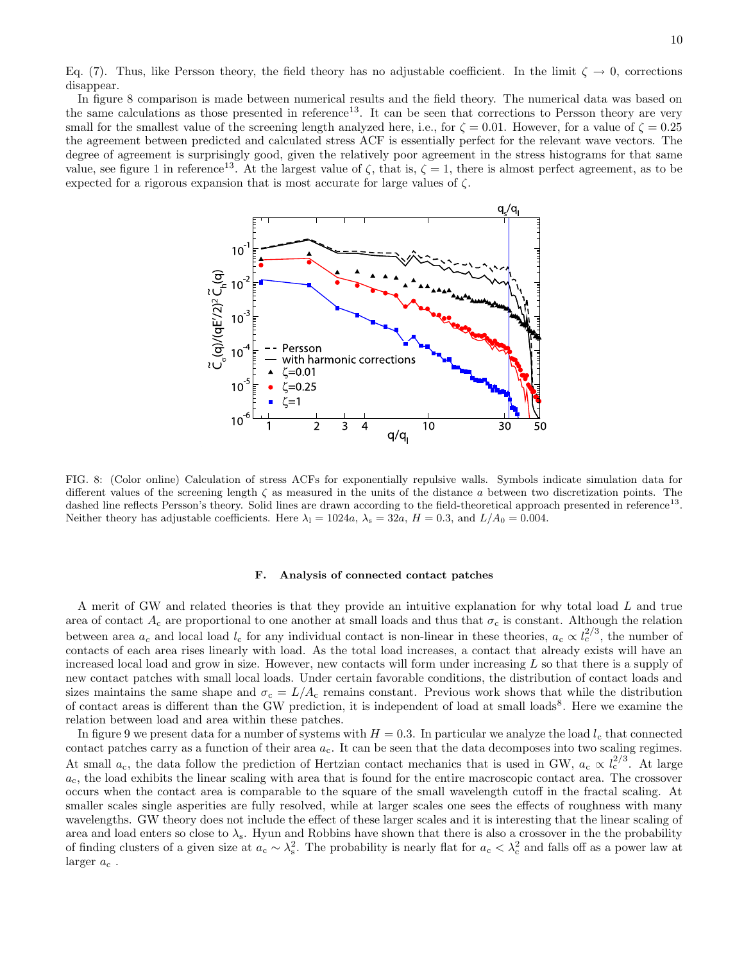Eq. (7). Thus, like Persson theory, the field theory has no adjustable coefficient. In the limit  $\zeta \to 0$ , corrections disappear.

In figure 8 comparison is made between numerical results and the field theory. The numerical data was based on the same calculations as those presented in reference<sup>13</sup>. It can be seen that corrections to Persson theory are very small for the smallest value of the screening length analyzed here, i.e., for  $\zeta = 0.01$ . However, for a value of  $\zeta = 0.25$ the agreement between predicted and calculated stress ACF is essentially perfect for the relevant wave vectors. The degree of agreement is surprisingly good, given the relatively poor agreement in the stress histograms for that same value, see figure 1 in reference<sup>13</sup>. At the largest value of  $\zeta$ , that is,  $\zeta = 1$ , there is almost perfect agreement, as to be expected for a rigorous expansion that is most accurate for large values of ζ.



FIG. 8: (Color online) Calculation of stress ACFs for exponentially repulsive walls. Symbols indicate simulation data for different values of the screening length  $\zeta$  as measured in the units of the distance a between two discretization points. The dashed line reflects Persson's theory. Solid lines are drawn according to the field-theoretical approach presented in reference<sup>13</sup>. Neither theory has adjustable coefficients. Here  $\lambda_1 = 1024a$ ,  $\lambda_s = 32a$ ,  $H = 0.3$ , and  $L/A_0 = 0.004$ .

#### F. Analysis of connected contact patches

A merit of GW and related theories is that they provide an intuitive explanation for why total load L and true area of contact  $A_c$  are proportional to one another at small loads and thus that  $\sigma_c$  is constant. Although the relation between area  $a_c$  and local load  $l_c$  for any individual contact is non-linear in these theories,  $a_c \propto l_c^{2/3}$ , the number of contacts of each area rises linearly with load. As the total load increases, a contact that already exists will have an increased local load and grow in size. However, new contacts will form under increasing L so that there is a supply of new contact patches with small local loads. Under certain favorable conditions, the distribution of contact loads and sizes maintains the same shape and  $\sigma_c = L/A_c$  remains constant. Previous work shows that while the distribution of contact areas is different than the GW prediction, it is independent of load at small loads<sup>8</sup>. Here we examine the relation between load and area within these patches.

In figure 9 we present data for a number of systems with  $H = 0.3$ . In particular we analyze the load  $l_c$  that connected contact patches carry as a function of their area  $a_c$ . It can be seen that the data decomposes into two scaling regimes. At small  $a_c$ , the data follow the prediction of Hertzian contact mechanics that is used in GW,  $a_c \propto l_c^{2/3}$ . At large  $a_c$ , the load exhibits the linear scaling with area that is found for the entire macroscopic contact area. The crossover occurs when the contact area is comparable to the square of the small wavelength cutoff in the fractal scaling. At smaller scales single asperities are fully resolved, while at larger scales one sees the effects of roughness with many wavelengths. GW theory does not include the effect of these larger scales and it is interesting that the linear scaling of area and load enters so close to  $\lambda_s$ . Hyun and Robbins have shown that there is also a crossover in the the probability of finding clusters of a given size at  $a_c \sim \lambda_s^2$ . The probability is nearly flat for  $a_c < \lambda_c^2$  and falls off as a power law at larger  $a_c$ .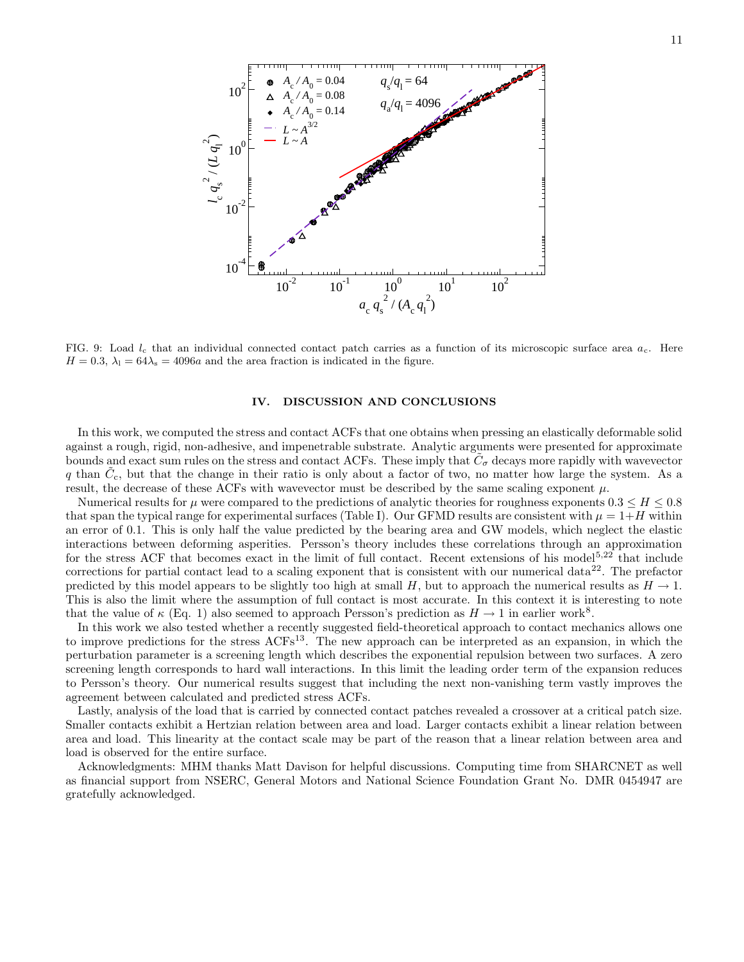

FIG. 9: Load  $l_c$  that an individual connected contact patch carries as a function of its microscopic surface area  $a_c$ . Here  $H = 0.3$ ,  $\lambda_1 = 64\lambda_s = 4096a$  and the area fraction is indicated in the figure.

## IV. DISCUSSION AND CONCLUSIONS

In this work, we computed the stress and contact ACFs that one obtains when pressing an elastically deformable solid against a rough, rigid, non-adhesive, and impenetrable substrate. Analytic arguments were presented for approximate bounds and exact sum rules on the stress and contact ACFs. These imply that  $\tilde{C}_{\sigma}$  decays more rapidly with wavevector q than  $\tilde{C}_{c}$ , but that the change in their ratio is only about a factor of two, no matter how large the system. As a result, the decrease of these ACFs with wavevector must be described by the same scaling exponent  $\mu$ .

Numerical results for  $\mu$  were compared to the predictions of analytic theories for roughness exponents  $0.3 \leq H \leq 0.8$ that span the typical range for experimental surfaces (Table I). Our GFMD results are consistent with  $\mu = 1+H$  within an error of 0.1. This is only half the value predicted by the bearing area and GW models, which neglect the elastic interactions between deforming asperities. Persson's theory includes these correlations through an approximation for the stress ACF that becomes exact in the limit of full contact. Recent extensions of his model<sup>5,22</sup> that include corrections for partial contact lead to a scaling exponent that is consistent with our numerical data<sup>22</sup>. The prefactor predicted by this model appears to be slightly too high at small H, but to approach the numerical results as  $H \to 1$ . This is also the limit where the assumption of full contact is most accurate. In this context it is interesting to note that the value of  $\kappa$  (Eq. 1) also seemed to approach Persson's prediction as  $H \to 1$  in earlier work<sup>8</sup>.

In this work we also tested whether a recently suggested field-theoretical approach to contact mechanics allows one to improve predictions for the stress ACFs<sup>13</sup>. The new approach can be interpreted as an expansion, in which the perturbation parameter is a screening length which describes the exponential repulsion between two surfaces. A zero screening length corresponds to hard wall interactions. In this limit the leading order term of the expansion reduces to Persson's theory. Our numerical results suggest that including the next non-vanishing term vastly improves the agreement between calculated and predicted stress ACFs.

Lastly, analysis of the load that is carried by connected contact patches revealed a crossover at a critical patch size. Smaller contacts exhibit a Hertzian relation between area and load. Larger contacts exhibit a linear relation between area and load. This linearity at the contact scale may be part of the reason that a linear relation between area and load is observed for the entire surface.

Acknowledgments: MHM thanks Matt Davison for helpful discussions. Computing time from SHARCNET as well as financial support from NSERC, General Motors and National Science Foundation Grant No. DMR 0454947 are gratefully acknowledged.